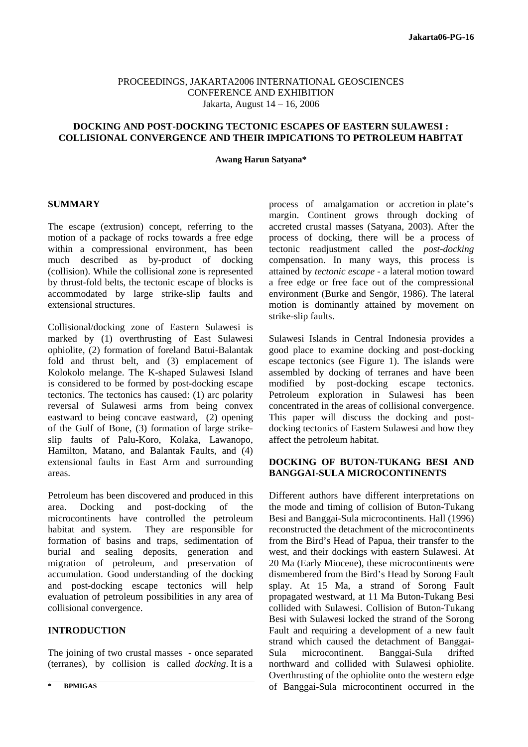#### PROCEEDINGS, JAKARTA2006 INTERNATIONAL GEOSCIENCES CONFERENCE AND EXHIBITION Jakarta, August 14 – 16, 2006

## **DOCKING AND POST-DOCKING TECTONIC ESCAPES OF EASTERN SULAWESI : COLLISIONAL CONVERGENCE AND THEIR IMPICATIONS TO PETROLEUM HABITAT**

**Awang Harun Satyana\*** 

#### **SUMMARY**

The escape (extrusion) concept, referring to the motion of a package of rocks towards a free edge within a compressional environment, has been much described as by-product of docking (collision). While the collisional zone is represented by thrust-fold belts, the tectonic escape of blocks is accommodated by large strike-slip faults and extensional structures.

Collisional/docking zone of Eastern Sulawesi is marked by (1) overthrusting of East Sulawesi ophiolite, (2) formation of foreland Batui-Balantak fold and thrust belt, and (3) emplacement of Kolokolo melange. The K-shaped Sulawesi Island is considered to be formed by post-docking escape tectonics. The tectonics has caused: (1) arc polarity reversal of Sulawesi arms from being convex eastward to being concave eastward, (2) opening of the Gulf of Bone, (3) formation of large strikeslip faults of Palu-Koro, Kolaka, Lawanopo, Hamilton, Matano, and Balantak Faults, and (4) extensional faults in East Arm and surrounding areas.

Petroleum has been discovered and produced in this area. Docking and post-docking of the microcontinents have controlled the petroleum habitat and system. They are responsible for formation of basins and traps, sedimentation of burial and sealing deposits, generation and migration of petroleum, and preservation of accumulation. Good understanding of the docking and post-docking escape tectonics will help evaluation of petroleum possibilities in any area of collisional convergence.

# **INTRODUCTION**

The joining of two crustal masses - once separated (terranes), by collision is called *docking*. It is a

process of amalgamation or accretion in plate's margin. Continent grows through docking of accreted crustal masses (Satyana, 2003). After the process of docking, there will be a process of tectonic readjustment called the *post-docking* compensation. In many ways, this process is attained by *tectonic escape* - a lateral motion toward a free edge or free face out of the compressional environment (Burke and Sengör, 1986). The lateral motion is dominantly attained by movement on strike-slip faults.

Sulawesi Islands in Central Indonesia provides a good place to examine docking and post-docking escape tectonics (see Figure 1). The islands were assembled by docking of terranes and have been modified by post-docking escape tectonics. Petroleum exploration in Sulawesi has been concentrated in the areas of collisional convergence. This paper will discuss the docking and postdocking tectonics of Eastern Sulawesi and how they affect the petroleum habitat.

## **DOCKING OF BUTON-TUKANG BESI AND BANGGAI-SULA MICROCONTINENTS**

Different authors have different interpretations on the mode and timing of collision of Buton-Tukang Besi and Banggai-Sula microcontinents. Hall (1996) reconstructed the detachment of the microcontinents from the Bird's Head of Papua, their transfer to the west, and their dockings with eastern Sulawesi. At 20 Ma (Early Miocene), these microcontinents were dismembered from the Bird's Head by Sorong Fault splay. At 15 Ma, a strand of Sorong Fault propagated westward, at 11 Ma Buton-Tukang Besi collided with Sulawesi. Collision of Buton-Tukang Besi with Sulawesi locked the strand of the Sorong Fault and requiring a development of a new fault strand which caused the detachment of Banggai-Sula microcontinent. Banggai-Sula drifted northward and collided with Sulawesi ophiolite. Overthrusting of the ophiolite onto the western edge of Banggai-Sula microcontinent occurred in the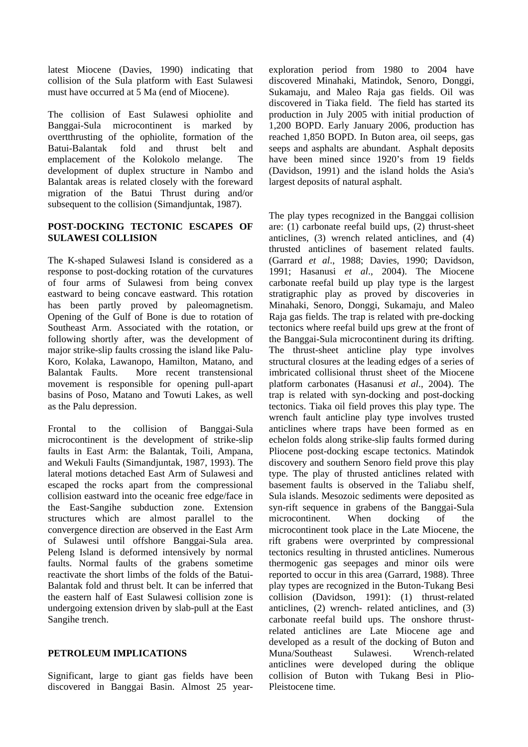latest Miocene (Davies, 1990) indicating that collision of the Sula platform with East Sulawesi must have occurred at 5 Ma (end of Miocene).

The collision of East Sulawesi ophiolite and Banggai-Sula microcontinent is marked by overtthrusting of the ophiolite, formation of the Batui-Balantak fold and thrust belt and emplacement of the Kolokolo melange. The development of duplex structure in Nambo and Balantak areas is related closely with the foreward migration of the Batui Thrust during and/or subsequent to the collision (Simandjuntak, 1987).

## **POST-DOCKING TECTONIC ESCAPES OF SULAWESI COLLISION**

The K-shaped Sulawesi Island is considered as a response to post-docking rotation of the curvatures of four arms of Sulawesi from being convex eastward to being concave eastward. This rotation has been partly proved by paleomagnetism. Opening of the Gulf of Bone is due to rotation of Southeast Arm. Associated with the rotation, or following shortly after, was the development of major strike-slip faults crossing the island like Palu-Koro, Kolaka, Lawanopo, Hamilton, Matano, and Balantak Faults. More recent transtensional movement is responsible for opening pull-apart basins of Poso, Matano and Towuti Lakes, as well as the Palu depression.

Frontal to the collision of Banggai-Sula microcontinent is the development of strike-slip faults in East Arm: the Balantak, Toili, Ampana, and Wekuli Faults (Simandjuntak, 1987, 1993). The lateral motions detached East Arm of Sulawesi and escaped the rocks apart from the compressional collision eastward into the oceanic free edge/face in the East-Sangihe subduction zone. Extension structures which are almost parallel to the convergence direction are observed in the East Arm of Sulawesi until offshore Banggai-Sula area. Peleng Island is deformed intensively by normal faults. Normal faults of the grabens sometime reactivate the short limbs of the folds of the Batui-Balantak fold and thrust belt. It can be inferred that the eastern half of East Sulawesi collision zone is undergoing extension driven by slab-pull at the East Sangihe trench.

## **PETROLEUM IMPLICATIONS**

Significant, large to giant gas fields have been discovered in Banggai Basin. Almost 25 yearexploration period from 1980 to 2004 have discovered Minahaki, Matindok, Senoro, Donggi, Sukamaju, and Maleo Raja gas fields. Oil was discovered in Tiaka field. The field has started its production in July 2005 with initial production of 1,200 BOPD. Early January 2006, production has reached 1,850 BOPD. In Buton area, oil seeps, gas seeps and asphalts are abundant. Asphalt deposits have been mined since 1920's from 19 fields (Davidson, 1991) and the island holds the Asia's largest deposits of natural asphalt.

The play types recognized in the Banggai collision are: (1) carbonate reefal build ups, (2) thrust-sheet anticlines, (3) wrench related anticlines, and (4) thrusted anticlines of basement related faults. (Garrard *et al*., 1988; Davies, 1990; Davidson, 1991; Hasanusi *et al*., 2004). The Miocene carbonate reefal build up play type is the largest stratigraphic play as proved by discoveries in Minahaki, Senoro, Donggi, Sukamaju, and Maleo Raja gas fields. The trap is related with pre-docking tectonics where reefal build ups grew at the front of the Banggai-Sula microcontinent during its drifting. The thrust-sheet anticline play type involves structural closures at the leading edges of a series of imbricated collisional thrust sheet of the Miocene platform carbonates (Hasanusi *et al*., 2004). The trap is related with syn-docking and post-docking tectonics. Tiaka oil field proves this play type. The wrench fault anticline play type involves trusted anticlines where traps have been formed as en echelon folds along strike-slip faults formed during Pliocene post-docking escape tectonics. Matindok discovery and southern Senoro field prove this play type. The play of thrusted anticlines related with basement faults is observed in the Taliabu shelf, Sula islands. Mesozoic sediments were deposited as syn-rift sequence in grabens of the Banggai-Sula microcontinent. When docking of the microcontinent took place in the Late Miocene, the rift grabens were overprinted by compressional tectonics resulting in thrusted anticlines. Numerous thermogenic gas seepages and minor oils were reported to occur in this area (Garrard, 1988). Three play types are recognized in the Buton-Tukang Besi collision (Davidson, 1991): (1) thrust-related anticlines, (2) wrench- related anticlines, and (3) carbonate reefal build ups. The onshore thrustrelated anticlines are Late Miocene age and developed as a result of the docking of Buton and Muna/Southeast Sulawesi. Wrench-related anticlines were developed during the oblique collision of Buton with Tukang Besi in Plio-Pleistocene time.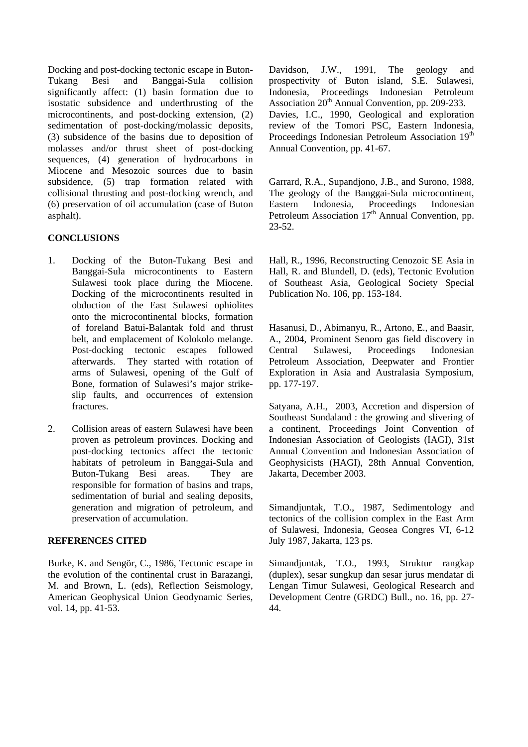Docking and post-docking tectonic escape in Buton-Tukang Besi and Banggai-Sula collision significantly affect: (1) basin formation due to isostatic subsidence and underthrusting of the microcontinents, and post-docking extension, (2) sedimentation of post-docking/molassic deposits, (3) subsidence of the basins due to deposition of molasses and/or thrust sheet of post-docking sequences, (4) generation of hydrocarbons in Miocene and Mesozoic sources due to basin subsidence, (5) trap formation related with collisional thrusting and post-docking wrench, and (6) preservation of oil accumulation (case of Buton asphalt).

# **CONCLUSIONS**

- 1. Docking of the Buton-Tukang Besi and Banggai-Sula microcontinents to Eastern Sulawesi took place during the Miocene. Docking of the microcontinents resulted in obduction of the East Sulawesi ophiolites onto the microcontinental blocks, formation of foreland Batui-Balantak fold and thrust belt, and emplacement of Kolokolo melange. Post-docking tectonic escapes followed afterwards. They started with rotation of arms of Sulawesi, opening of the Gulf of Bone, formation of Sulawesi's major strikeslip faults, and occurrences of extension fractures.
- 2. Collision areas of eastern Sulawesi have been proven as petroleum provinces. Docking and post-docking tectonics affect the tectonic habitats of petroleum in Banggai-Sula and Buton-Tukang Besi areas. They are responsible for formation of basins and traps, sedimentation of burial and sealing deposits, generation and migration of petroleum, and preservation of accumulation.

## **REFERENCES CITED**

Burke, K. and Sengör, C., 1986, Tectonic escape in the evolution of the continental crust in Barazangi, M. and Brown, L. (eds), Reflection Seismology, American Geophysical Union Geodynamic Series, vol. 14, pp. 41-53.

Davidson, J.W., 1991, The geology and prospectivity of Buton island, S.E. Sulawesi, Indonesia, Proceedings Indonesian Petroleum Association  $20<sup>th</sup>$  Annual Convention, pp. 209-233. Davies, I.C., 1990, Geological and exploration review of the Tomori PSC, Eastern Indonesia, Proceedings Indonesian Petroleum Association 19<sup>th</sup> Annual Convention, pp. 41-67.

Garrard, R.A., Supandjono, J.B., and Surono, 1988, The geology of the Banggai-Sula microcontinent, Eastern Indonesia, Proceedings Indonesian Petroleum Association  $17<sup>th</sup>$  Annual Convention, pp. 23-52.

Hall, R., 1996, Reconstructing Cenozoic SE Asia in Hall, R. and Blundell, D. (eds), Tectonic Evolution of Southeast Asia, Geological Society Special Publication No. 106, pp. 153-184.

Hasanusi, D., Abimanyu, R., Artono, E., and Baasir, A., 2004, Prominent Senoro gas field discovery in Central Sulawesi, Proceedings Indonesian Petroleum Association, Deepwater and Frontier Exploration in Asia and Australasia Symposium, pp. 177-197.

Satyana, A.H., 2003, Accretion and dispersion of Southeast Sundaland : the growing and slivering of a continent, Proceedings Joint Convention of Indonesian Association of Geologists (IAGI), 31st Annual Convention and Indonesian Association of Geophysicists (HAGI), 28th Annual Convention, Jakarta, December 2003.

Simandjuntak, T.O., 1987, Sedimentology and tectonics of the collision complex in the East Arm of Sulawesi, Indonesia, Geosea Congres VI, 6-12 July 1987, Jakarta, 123 ps.

Simandjuntak, T.O., 1993, Struktur rangkap (duplex), sesar sungkup dan sesar jurus mendatar di Lengan Timur Sulawesi, Geological Research and Development Centre (GRDC) Bull., no. 16, pp. 27- 44.